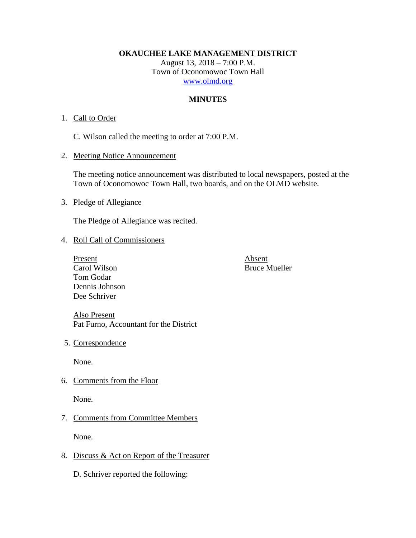**OKAUCHEE LAKE MANAGEMENT DISTRICT**

August 13, 2018 – 7:00 P.M. Town of Oconomowoc Town Hall [www.olmd.org](http://www.olmd.org/)

# **MINUTES**

### 1. Call to Order

C. Wilson called the meeting to order at 7:00 P.M.

2. Meeting Notice Announcement

The meeting notice announcement was distributed to local newspapers, posted at the Town of Oconomowoc Town Hall, two boards, and on the OLMD website.

3. Pledge of Allegiance

The Pledge of Allegiance was recited.

#### 4. Roll Call of Commissioners

Present Absent Carol Wilson Bruce Mueller Tom Godar Dennis Johnson Dee Schriver

Also Present Pat Furno, Accountant for the District

5. Correspondence

None.

6. Comments from the Floor

None.

# 7. Comments from Committee Members

None.

# 8. Discuss & Act on Report of the Treasurer

D. Schriver reported the following: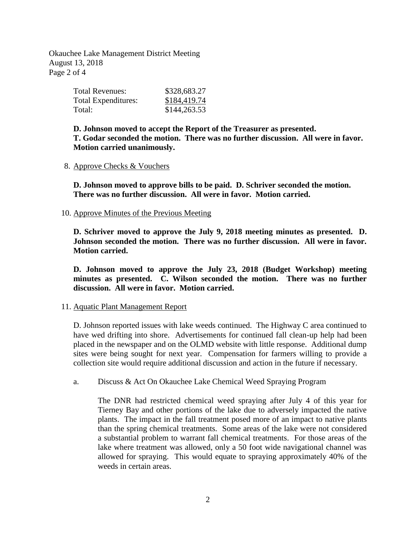Okauchee Lake Management District Meeting August 13, 2018 Page 2 of 4

| Total Revenues:     | \$328,683.27 |
|---------------------|--------------|
| Total Expenditures: | \$184,419.74 |
| Total:              | \$144,263.53 |

**D. Johnson moved to accept the Report of the Treasurer as presented. T. Godar seconded the motion. There was no further discussion. All were in favor. Motion carried unanimously.**

8. Approve Checks & Vouchers

**D. Johnson moved to approve bills to be paid. D. Schriver seconded the motion. There was no further discussion. All were in favor. Motion carried.**

10. Approve Minutes of the Previous Meeting

**D. Schriver moved to approve the July 9, 2018 meeting minutes as presented. D. Johnson seconded the motion. There was no further discussion. All were in favor. Motion carried.**

**D. Johnson moved to approve the July 23, 2018 (Budget Workshop) meeting minutes as presented. C. Wilson seconded the motion. There was no further discussion. All were in favor. Motion carried.**

#### 11. Aquatic Plant Management Report

D. Johnson reported issues with lake weeds continued. The Highway C area continued to have wed drifting into shore. Advertisements for continued fall clean-up help had been placed in the newspaper and on the OLMD website with little response. Additional dump sites were being sought for next year. Compensation for farmers willing to provide a collection site would require additional discussion and action in the future if necessary.

a. Discuss & Act On Okauchee Lake Chemical Weed Spraying Program

The DNR had restricted chemical weed spraying after July 4 of this year for Tierney Bay and other portions of the lake due to adversely impacted the native plants. The impact in the fall treatment posed more of an impact to native plants than the spring chemical treatments. Some areas of the lake were not considered a substantial problem to warrant fall chemical treatments. For those areas of the lake where treatment was allowed, only a 50 foot wide navigational channel was allowed for spraying. This would equate to spraying approximately 40% of the weeds in certain areas.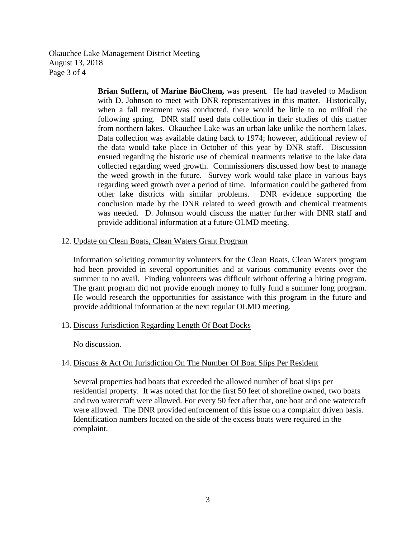Okauchee Lake Management District Meeting August 13, 2018 Page 3 of 4

> **Brian Suffern, of Marine BioChem,** was present. He had traveled to Madison with D. Johnson to meet with DNR representatives in this matter. Historically, when a fall treatment was conducted, there would be little to no milfoil the following spring. DNR staff used data collection in their studies of this matter from northern lakes. Okauchee Lake was an urban lake unlike the northern lakes. Data collection was available dating back to 1974; however, additional review of the data would take place in October of this year by DNR staff. Discussion ensued regarding the historic use of chemical treatments relative to the lake data collected regarding weed growth. Commissioners discussed how best to manage the weed growth in the future. Survey work would take place in various bays regarding weed growth over a period of time. Information could be gathered from other lake districts with similar problems. DNR evidence supporting the conclusion made by the DNR related to weed growth and chemical treatments was needed. D. Johnson would discuss the matter further with DNR staff and provide additional information at a future OLMD meeting.

#### 12. Update on Clean Boats, Clean Waters Grant Program

Information soliciting community volunteers for the Clean Boats, Clean Waters program had been provided in several opportunities and at various community events over the summer to no avail. Finding volunteers was difficult without offering a hiring program. The grant program did not provide enough money to fully fund a summer long program. He would research the opportunities for assistance with this program in the future and provide additional information at the next regular OLMD meeting.

#### 13. Discuss Jurisdiction Regarding Length Of Boat Docks

No discussion.

#### 14. Discuss & Act On Jurisdiction On The Number Of Boat Slips Per Resident

Several properties had boats that exceeded the allowed number of boat slips per residential property. It was noted that for the first 50 feet of shoreline owned, two boats and two watercraft were allowed. For every 50 feet after that, one boat and one watercraft were allowed. The DNR provided enforcement of this issue on a complaint driven basis. Identification numbers located on the side of the excess boats were required in the complaint.